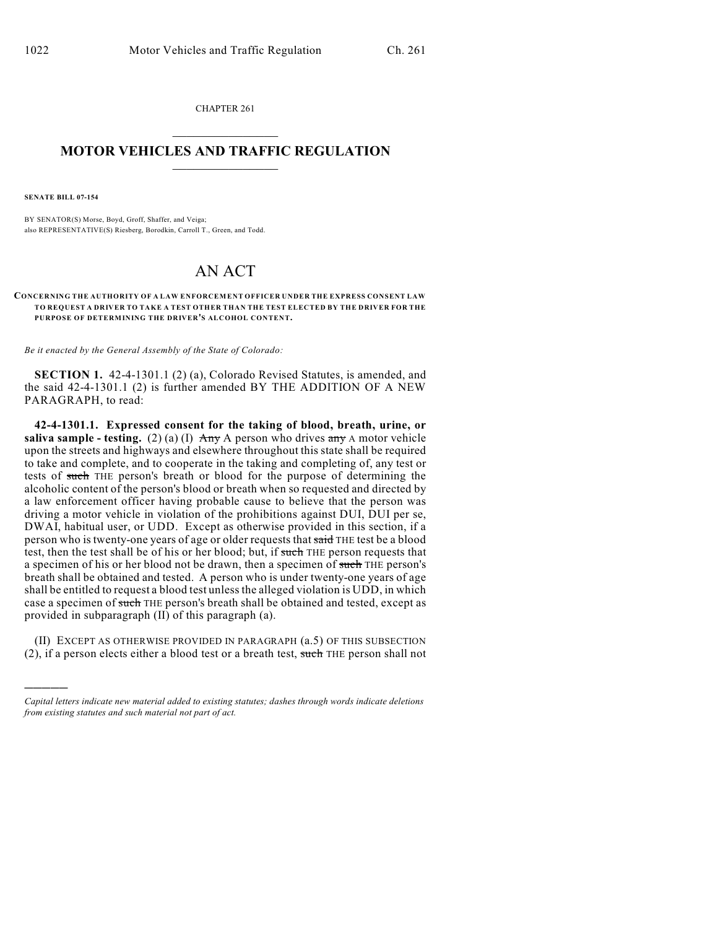CHAPTER 261  $\overline{\phantom{a}}$  . The set of the set of the set of the set of the set of the set of the set of the set of the set of the set of the set of the set of the set of the set of the set of the set of the set of the set of the set o

## **MOTOR VEHICLES AND TRAFFIC REGULATION**  $\frac{1}{2}$  ,  $\frac{1}{2}$  ,  $\frac{1}{2}$  ,  $\frac{1}{2}$  ,  $\frac{1}{2}$  ,  $\frac{1}{2}$  ,  $\frac{1}{2}$  ,  $\frac{1}{2}$

**SENATE BILL 07-154**

)))))

BY SENATOR(S) Morse, Boyd, Groff, Shaffer, and Veiga; also REPRESENTATIVE(S) Riesberg, Borodkin, Carroll T., Green, and Todd.

## AN ACT

## **CONCERNING THE AUTHORITY OF A LAW ENFORCEMENT OFFICER UNDER THE EXPRESS CONSENT LAW TO REQUEST A DRIVER TO TAKE A TEST OTHER THAN THE TEST ELECTED BY THE DRIVER FOR THE PURPOSE OF DETERMINING THE DRIVER'S ALCOHOL CONTENT.**

*Be it enacted by the General Assembly of the State of Colorado:*

**SECTION 1.** 42-4-1301.1 (2) (a), Colorado Revised Statutes, is amended, and the said 42-4-1301.1 (2) is further amended BY THE ADDITION OF A NEW PARAGRAPH, to read:

**42-4-1301.1. Expressed consent for the taking of blood, breath, urine, or saliva sample - testing.** (2) (a) (I)  $\overrightarrow{Any}$  A person who drives  $\overrightarrow{any}$  A motor vehicle upon the streets and highways and elsewhere throughout this state shall be required to take and complete, and to cooperate in the taking and completing of, any test or tests of such THE person's breath or blood for the purpose of determining the alcoholic content of the person's blood or breath when so requested and directed by a law enforcement officer having probable cause to believe that the person was driving a motor vehicle in violation of the prohibitions against DUI, DUI per se, DWAI, habitual user, or UDD. Except as otherwise provided in this section, if a person who is twenty-one years of age or older requests that said THE test be a blood test, then the test shall be of his or her blood; but, if such THE person requests that a specimen of his or her blood not be drawn, then a specimen of such THE person's breath shall be obtained and tested. A person who is under twenty-one years of age shall be entitled to request a blood test unless the alleged violation is UDD, in which case a specimen of such THE person's breath shall be obtained and tested, except as provided in subparagraph (II) of this paragraph (a).

(II) EXCEPT AS OTHERWISE PROVIDED IN PARAGRAPH (a.5) OF THIS SUBSECTION (2), if a person elects either a blood test or a breath test, such THE person shall not

*Capital letters indicate new material added to existing statutes; dashes through words indicate deletions from existing statutes and such material not part of act.*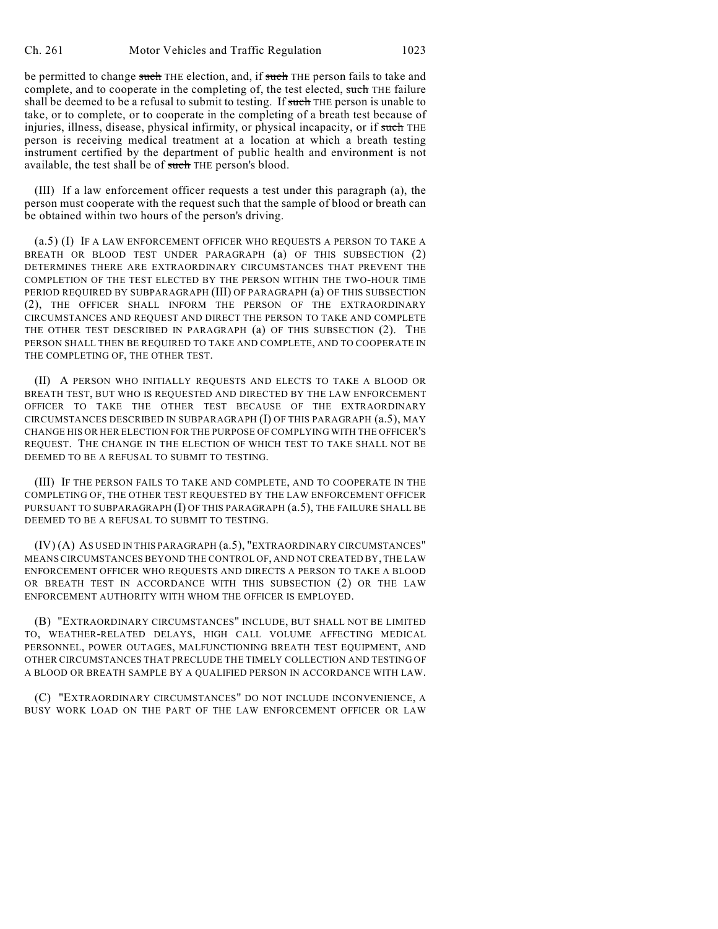be permitted to change such THE election, and, if such THE person fails to take and complete, and to cooperate in the completing of, the test elected, such THE failure shall be deemed to be a refusal to submit to testing. If such THE person is unable to take, or to complete, or to cooperate in the completing of a breath test because of injuries, illness, disease, physical infirmity, or physical incapacity, or if such THE person is receiving medical treatment at a location at which a breath testing instrument certified by the department of public health and environment is not available, the test shall be of such THE person's blood.

(III) If a law enforcement officer requests a test under this paragraph (a), the person must cooperate with the request such that the sample of blood or breath can be obtained within two hours of the person's driving.

(a.5) (I) IF A LAW ENFORCEMENT OFFICER WHO REQUESTS A PERSON TO TAKE A BREATH OR BLOOD TEST UNDER PARAGRAPH (a) OF THIS SUBSECTION (2) DETERMINES THERE ARE EXTRAORDINARY CIRCUMSTANCES THAT PREVENT THE COMPLETION OF THE TEST ELECTED BY THE PERSON WITHIN THE TWO-HOUR TIME PERIOD REQUIRED BY SUBPARAGRAPH (III) OF PARAGRAPH (a) OF THIS SUBSECTION (2), THE OFFICER SHALL INFORM THE PERSON OF THE EXTRAORDINARY CIRCUMSTANCES AND REQUEST AND DIRECT THE PERSON TO TAKE AND COMPLETE THE OTHER TEST DESCRIBED IN PARAGRAPH (a) OF THIS SUBSECTION (2). THE PERSON SHALL THEN BE REQUIRED TO TAKE AND COMPLETE, AND TO COOPERATE IN THE COMPLETING OF, THE OTHER TEST.

(II) A PERSON WHO INITIALLY REQUESTS AND ELECTS TO TAKE A BLOOD OR BREATH TEST, BUT WHO IS REQUESTED AND DIRECTED BY THE LAW ENFORCEMENT OFFICER TO TAKE THE OTHER TEST BECAUSE OF THE EXTRAORDINARY CIRCUMSTANCES DESCRIBED IN SUBPARAGRAPH (I) OF THIS PARAGRAPH (a.5), MAY CHANGE HIS OR HER ELECTION FOR THE PURPOSE OF COMPLYING WITH THE OFFICER'S REQUEST. THE CHANGE IN THE ELECTION OF WHICH TEST TO TAKE SHALL NOT BE DEEMED TO BE A REFUSAL TO SUBMIT TO TESTING.

(III) IF THE PERSON FAILS TO TAKE AND COMPLETE, AND TO COOPERATE IN THE COMPLETING OF, THE OTHER TEST REQUESTED BY THE LAW ENFORCEMENT OFFICER PURSUANT TO SUBPARAGRAPH (I) OF THIS PARAGRAPH  $(a.5)$ , THE FAILURE SHALL BE DEEMED TO BE A REFUSAL TO SUBMIT TO TESTING.

(IV) (A) AS USED IN THIS PARAGRAPH (a.5), "EXTRAORDINARY CIRCUMSTANCES" MEANS CIRCUMSTANCES BEYOND THE CONTROL OF, AND NOT CREATED BY, THE LAW ENFORCEMENT OFFICER WHO REQUESTS AND DIRECTS A PERSON TO TAKE A BLOOD OR BREATH TEST IN ACCORDANCE WITH THIS SUBSECTION (2) OR THE LAW ENFORCEMENT AUTHORITY WITH WHOM THE OFFICER IS EMPLOYED.

(B) "EXTRAORDINARY CIRCUMSTANCES" INCLUDE, BUT SHALL NOT BE LIMITED TO, WEATHER-RELATED DELAYS, HIGH CALL VOLUME AFFECTING MEDICAL PERSONNEL, POWER OUTAGES, MALFUNCTIONING BREATH TEST EQUIPMENT, AND OTHER CIRCUMSTANCES THAT PRECLUDE THE TIMELY COLLECTION AND TESTING OF A BLOOD OR BREATH SAMPLE BY A QUALIFIED PERSON IN ACCORDANCE WITH LAW.

(C) "EXTRAORDINARY CIRCUMSTANCES" DO NOT INCLUDE INCONVENIENCE, A BUSY WORK LOAD ON THE PART OF THE LAW ENFORCEMENT OFFICER OR LAW